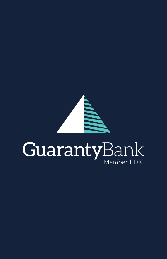

## GuarantyBank Member FDIC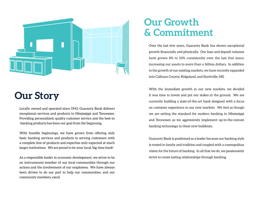

# **Our Story**

Locally owned and operated since 1943, Guaranty Bank delivers exceptional services and products to Mississippi and Tennessee. Providing personalized, quality customer service and the best-in -banking products has been our goal from the beginning.

With humble beginnings, we have grown from offering only basic banking services and products to serving customers with a complete line of products and expertise only expected at much larger institutions. We are proud to be your local, big-time bank!

As a responsible leader in economic development, we strive to be an instrumental member of our local communities through our actions and the involvement of our employees. We have always been driven to do our part to help our communities, and our community members, excel.

#### **Our Growth & Commitment**

Over the last few years, Guaranty Bank has shown exceptional growth financially and physically. Our loan and deposit volumes have grown 8% to 10% consistently over the last five years, increasing our assets to more than a billion dollars. In addition to the growth of our existing markets, we have recently expanded into Calhoun County, Ridgeland, and Starkville, MS.

With the immediate growth in our new markets, we decided it was time to invest and put our stakes in the ground. We are currently building a state-of-the-art bank designed with a focus on customer experience in our new markets. We feel as though we are setting the standard for modern banking in Mississippi and Tennessee as we aggressively implement up-to-the-minute banking technology in these new buildouts.

Guaranty Bank is positioned as a leader because our banking style is rooted in family and tradition and coupled with a cosmopolitan vision for the future of banking. In all that we do, we passionately strive to create lasting relationships through banking.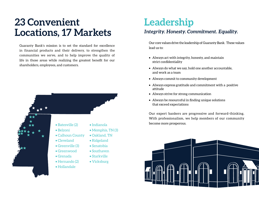## **23 Convenient Locations, 17 Markets**

Guaranty Bank's mission is to set the standard for excellence in financial products and their delivery, to strengthen the communities we serve, and to help improve the quality of life in those areas while realizing the greatest benefit for our shareholders, employees, and customers.



• Memphis, TN (3)

## **Leadership**

#### *Integrity. Honesty. Commitment. Equality.*

Our core values drive the leadership of Guaranty Bank. These values lead us to:

- Always act with integrity, honesty, and maintain strict confidentiality
- Always do what we say, hold one another accountable, and work as a team
- Always commit to community development
- Always express gratitude and commitment with a positive attitude
- Always strive for strong communication
- Always be resourceful in finding unique solutions that exceed expectations

Our expert bankers are progressive and forward-thinking. With professionalism, we help members of our community become more prosperous.

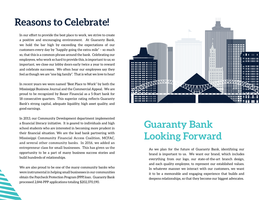#### **Reasons to Celebrate!**

In our effort to provide the best place to work, we strive to create a positive and encouraging environment. At Guaranty Bank, we hold the bar high by exceeding the expectations of our customers every day by "happily going the extra mile" – so much so, that this is a common phrase around the bank. Celebrating our employees, who work so hard to provide this, is important to us; so important, we close our lobby doors early twice a year to reward and celebrate successes. We often hear our employees say they feel as though we are "one big family". That is what we love to hear!

In recent years we were named "Best Place to Work" by both the Mississippi Business Journal and the Commercial Appeal. We are proud to be recognized by Bauer Financial as a 5-Start bank for 18 consecutive quarters. This superior rating reflects Guaranty Bank's strong capital, adequate liquidity, high asset quality, and good earnings.

In 2013, our Community Development department implemented a financial literacy initiative. It is geared to individuals and high school students who are interested in becoming more prudent in their financial situation. We are the lead bank partnering with Mississippi Community Financial Access Coalition, MCFAC, and several other community banks. In 2016, we added an entrepreneur class for small businesses. This has given us the opportunity to be a part of many business success stories and build hundreds of relationships.

We are also proud to be one of the many community banks who were instrumental in helping small businesses in our communities obtain the Paycheck Protection Program (PPP) loan. Guaranty Bank processed 2,846 PPP applications totaling \$202,370,190.



# **Guaranty Bank Looking Forward**

As we plan for the future of Guaranty Bank, identifying our brand is important to us. We want our brand, which includes everything from our logo, our state-of-the-art branch design, and each quality employee, to represent our established values. In whatever manner we interact with our customers, we want it to be a memorable and engaging experience that builds and deepens relationships, so that they become our biggest advocates.